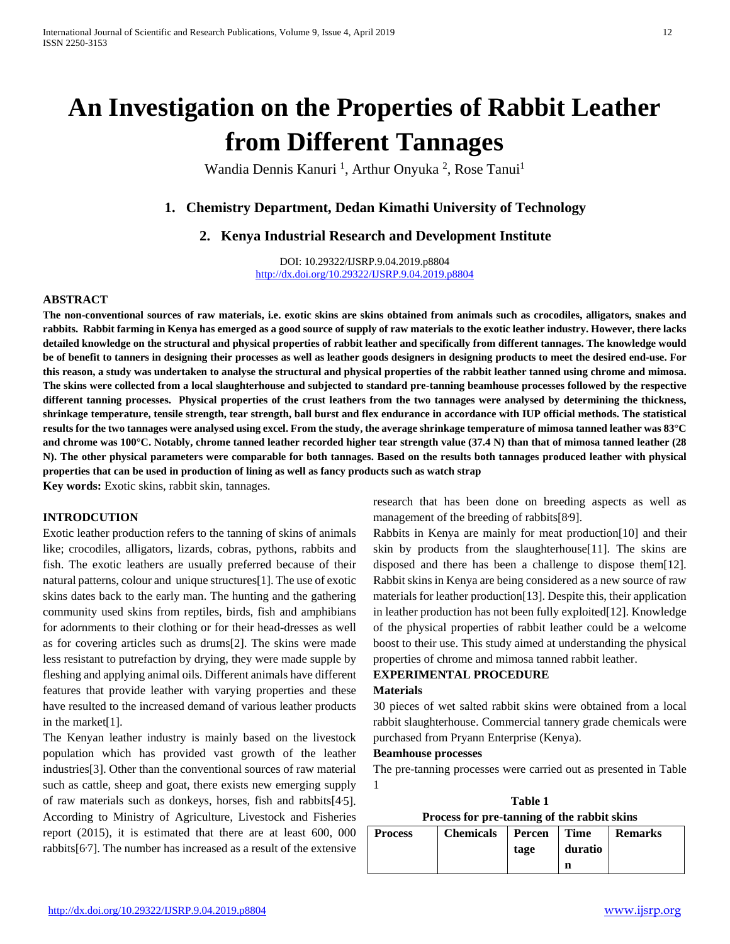# **An Investigation on the Properties of Rabbit Leather from Different Tannages**

Wandia Dennis Kanuri<sup>1</sup>, Arthur Onyuka<sup>2</sup>, Rose Tanui<sup>1</sup>

# **1. Chemistry Department, Dedan Kimathi University of Technology**

## **2. Kenya Industrial Research and Development Institute**

DOI: 10.29322/IJSRP.9.04.2019.p8804 <http://dx.doi.org/10.29322/IJSRP.9.04.2019.p8804>

## **ABSTRACT**

**The non-conventional sources of raw materials, i.e. exotic skins are skins obtained from animals such as crocodiles, alligators, snakes and rabbits. Rabbit farming in Kenya has emerged as a good source of supply of raw materials to the exotic leather industry. However, there lacks detailed knowledge on the structural and physical properties of rabbit leather and specifically from different tannages. The knowledge would be of benefit to tanners in designing their processes as well as leather goods designers in designing products to meet the desired end-use. For this reason, a study was undertaken to analyse the structural and physical properties of the rabbit leather tanned using chrome and mimosa. The skins were collected from a local slaughterhouse and subjected to standard pre-tanning beamhouse processes followed by the respective different tanning processes. Physical properties of the crust leathers from the two tannages were analysed by determining the thickness, shrinkage temperature, tensile strength, tear strength, ball burst and flex endurance in accordance with IUP official methods. The statistical results for the two tannages were analysed using excel. From the study, the average shrinkage temperature of mimosa tanned leather was 83°C and chrome was 100°C. Notably, chrome tanned leather recorded higher tear strength value (37.4 N) than that of mimosa tanned leather (28 N). The other physical parameters were comparable for both tannages. Based on the results both tannages produced leather with physical properties that can be used in production of lining as well as fancy products such as watch strap**

**Key words:** Exotic skins, rabbit skin, tannages.

## **INTRODCUTION**

Exotic leather production refers to the tanning of skins of animals like; crocodiles, alligators, lizards, cobras, pythons, rabbits and fish. The exotic leathers are usually preferred because of their natural patterns, colour and unique structures[1]. The use of exotic skins dates back to the early man. The hunting and the gathering community used skins from reptiles, birds, fish and amphibians for adornments to their clothing or for their head-dresses as well as for covering articles such as drums[2]. The skins were made less resistant to putrefaction by drying, they were made supple by fleshing and applying animal oils. Different animals have different features that provide leather with varying properties and these have resulted to the increased demand of various leather products in the market[1].

The Kenyan leather industry is mainly based on the livestock population which has provided vast growth of the leather industries[3]. Other than the conventional sources of raw material such as cattle, sheep and goat, there exists new emerging supply of raw materials such as donkeys, horses, fish and rabbits[45]. According to Ministry of Agriculture, Livestock and Fisheries report (2015), it is estimated that there are at least 600, 000 rabbits $[67]$ . The number has increased as a result of the extensive research that has been done on breeding aspects as well as management of the breeding of rabbits[8<sup>.9</sup>].

Rabbits in Kenya are mainly for meat production[10] and their skin by products from the slaughterhouse[11]. The skins are disposed and there has been a challenge to dispose them[12]. Rabbit skins in Kenya are being considered as a new source of raw materials for leather production[13]. Despite this, their application in leather production has not been fully exploited[12]. Knowledge of the physical properties of rabbit leather could be a welcome boost to their use. This study aimed at understanding the physical properties of chrome and mimosa tanned rabbit leather.

## **EXPERIMENTAL PROCEDURE**

#### **Materials**

30 pieces of wet salted rabbit skins were obtained from a local rabbit slaughterhouse. Commercial tannery grade chemicals were purchased from Pryann Enterprise (Kenya).

## **Beamhouse processes**

The pre-tanning processes were carried out as presented in Table 1

**Table 1 Process for pre-tanning of the rabbit skins**

| <b>Process</b> | Chemicals   Percen   Time |      |         | <b>Remarks</b> |  |
|----------------|---------------------------|------|---------|----------------|--|
|                |                           | tage | duratio |                |  |
|                |                           |      |         |                |  |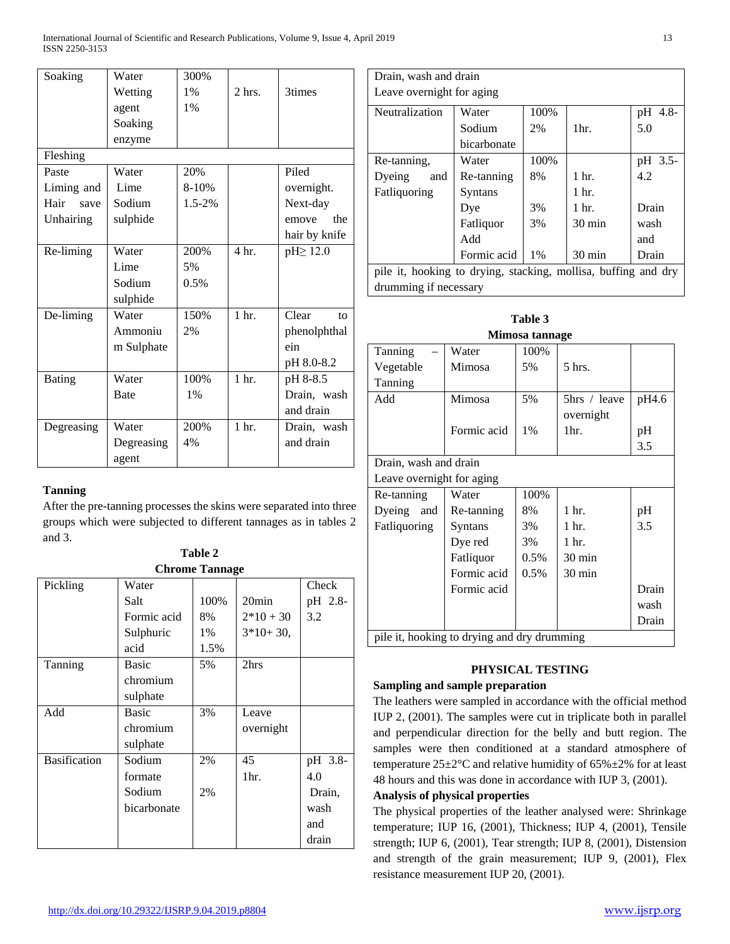| Soaking       | Water       | 300%        |                  |                       |
|---------------|-------------|-------------|------------------|-----------------------|
|               | Wetting     | 1%          | $2$ hrs.         | 3times                |
|               | agent       | 1%          |                  |                       |
|               | Soaking     |             |                  |                       |
|               | enzyme      |             |                  |                       |
| Fleshing      |             |             |                  |                       |
| Paste         | Water       | 20%         |                  | Piled                 |
| Liming and    | Lime        | $8 - 10%$   |                  | overnight.            |
| Hair<br>save  | Sodium      | $1.5 - 2\%$ |                  | Next-day              |
| Unhairing     | sulphide    |             |                  | the<br>emove          |
|               |             |             |                  | hair by knife         |
| Re-liming     | Water       | 200%        | 4 <sub>hr.</sub> | $pH \geq 12.0$        |
|               | Lime        | 5%          |                  |                       |
|               | Sodium      | 0.5%        |                  |                       |
|               | sulphide    |             |                  |                       |
| De-liming     | Water       | 150%        | 1 <sub>hr.</sub> | Clear<br>$f_{\Omega}$ |
|               | Ammoniu     | 2%          |                  | phenolphthal          |
|               | m Sulphate  |             |                  | ein                   |
|               |             |             |                  | pH 8.0-8.2            |
| <b>Bating</b> | Water       | 100%        | 1 <sub>hr.</sub> | pH 8-8.5              |
|               | <b>Bate</b> | $1\%$       |                  | Drain, wash           |
|               |             |             |                  | and drain             |
| Degreasing    | Water       | 200%        | 1 <sub>hr.</sub> | Drain, wash           |
|               | Degreasing  | 4%          |                  | and drain             |
|               | agent       |             |                  |                       |

## **Tanning**

After the pre-tanning processes the skins were separated into three groups which were subjected to different tannages as in tables 2 and 3.

**Table 2**

| <b>Chrome Tannage</b> |              |      |             |         |  |
|-----------------------|--------------|------|-------------|---------|--|
| Pickling              | Water        |      |             | Check   |  |
|                       | Salt         | 100% | $20$ min    | pH 2.8- |  |
|                       | Formic acid  | 8%   | $2*10+30$   | 3.2     |  |
|                       | Sulphuric    | 1%   | $3*10+30$ , |         |  |
|                       | acid         | 1.5% |             |         |  |
| Tanning               | <b>Basic</b> | 5%   | 2hrs        |         |  |
|                       | chromium     |      |             |         |  |
|                       | sulphate     |      |             |         |  |
| Add                   | <b>Basic</b> | 3%   | Leave       |         |  |
|                       | chromium     |      | overnight   |         |  |
|                       | sulphate     |      |             |         |  |
| <b>Basification</b>   | Sodium       | 2%   | 45          | pH 3.8- |  |
|                       | formate      |      | 1hr.        | 4.0     |  |
|                       | Sodium       | 2%   |             | Drain,  |  |
|                       | bicarbonate  |      |             | wash    |  |
|                       |              |      |             | and     |  |
|                       |              |      |             | drain   |  |

| Drain, wash and drain                                          |             |       |                  |         |
|----------------------------------------------------------------|-------------|-------|------------------|---------|
| Leave overnight for aging                                      |             |       |                  |         |
| Neutralization                                                 | Water       | 100%  |                  | pH 4.8- |
|                                                                | Sodium      | 2%    | $1hr$ .          | 5.0     |
|                                                                | bicarbonate |       |                  |         |
| Re-tanning,                                                    | Water       | 100%  |                  | pH 3.5- |
| Dyeing<br>and                                                  | Re-tanning  | 8%    | 1 <sub>hr.</sub> | 4.2     |
| Fatliquoring                                                   | Syntans     |       | 1 <sub>hr.</sub> |         |
|                                                                | Dye         | 3%    | 1 hr.            | Drain   |
|                                                                | Fatliquor   | 3%    | $30 \text{ min}$ | wash    |
|                                                                | Add         |       |                  | and     |
|                                                                | Formic acid | $1\%$ | $30 \text{ min}$ | Drain   |
| pile it, hooking to drying, stacking, mollisa, buffing and dry |             |       |                  |         |
| drumming if necessary                                          |             |       |                  |         |

| Table 3                                     |                       |         |                  |       |  |
|---------------------------------------------|-----------------------|---------|------------------|-------|--|
| Mimosa tannage                              |                       |         |                  |       |  |
| Tanning                                     | Water                 | 100%    |                  |       |  |
| Vegetable                                   | Mimosa                | 5%      | 5 hrs.           |       |  |
| Tanning                                     |                       |         |                  |       |  |
| Add                                         | Mimosa                | 5%      | 5hrs / leave     | pH4.6 |  |
|                                             |                       |         | overnight        |       |  |
|                                             | Formic acid           | $1\%$   | 1hr.             | pH    |  |
|                                             |                       |         |                  | 3.5   |  |
|                                             | Drain, wash and drain |         |                  |       |  |
| Leave overnight for aging                   |                       |         |                  |       |  |
| Re-tanning                                  | Water                 | 100%    |                  |       |  |
| Dyeing and                                  | Re-tanning            | 8%      | 1 hr.            | pH    |  |
| Fatliquoring                                | Syntans               | 3%      | 1 hr.            | 3.5   |  |
|                                             | Dye red               | 3%      | 1 <sub>hr.</sub> |       |  |
|                                             | Fatliquor             | $0.5\%$ | 30 min           |       |  |
|                                             | Formic acid           | 0.5%    | 30 min           |       |  |
|                                             | Formic acid           |         |                  | Drain |  |
|                                             |                       |         |                  | wash  |  |
|                                             |                       |         |                  | Drain |  |
| pile it, hooking to drying and dry drumming |                       |         |                  |       |  |

# **PHYSICAL TESTING**

## **Sampling and sample preparation**

The leathers were sampled in accordance with the official method IUP 2, (2001). The samples were cut in triplicate both in parallel and perpendicular direction for the belly and butt region. The samples were then conditioned at a standard atmosphere of temperature 25±2°C and relative humidity of 65%±2% for at least 48 hours and this was done in accordance with IUP 3, (2001).

## **Analysis of physical properties**

The physical properties of the leather analysed were: Shrinkage temperature; IUP 16, (2001), Thickness; IUP 4, (2001), Tensile strength; IUP 6, (2001), Tear strength; IUP 8, (2001), Distension and strength of the grain measurement; IUP 9, (2001), Flex resistance measurement IUP 20, (2001).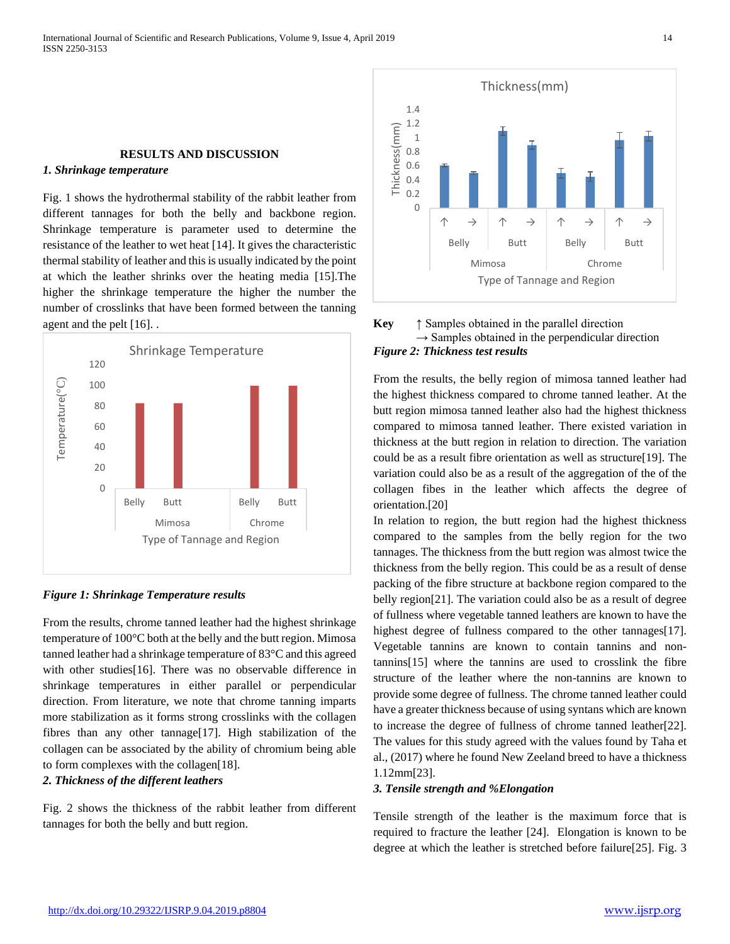## **RESULTS AND DISCUSSION**

## *1. Shrinkage temperature*

Fig. 1 shows the hydrothermal stability of the rabbit leather from different tannages for both the belly and backbone region. Shrinkage temperature is parameter used to determine the resistance of the leather to wet heat [14]. It gives the characteristic thermal stability of leather and this is usually indicated by the point at which the leather shrinks over the heating media [15].The higher the shrinkage temperature the higher the number the number of crosslinks that have been formed between the tanning agent and the pelt [16]. .



## *Figure 1: Shrinkage Temperature results*

From the results, chrome tanned leather had the highest shrinkage temperature of 100°C both at the belly and the butt region. Mimosa tanned leather had a shrinkage temperature of 83°C and this agreed with other studies[16]. There was no observable difference in shrinkage temperatures in either parallel or perpendicular direction. From literature, we note that chrome tanning imparts more stabilization as it forms strong crosslinks with the collagen fibres than any other tannage[17]. High stabilization of the collagen can be associated by the ability of chromium being able to form complexes with the collagen[18].

#### *2. Thickness of the different leathers*

Fig. 2 shows the thickness of the rabbit leather from different tannages for both the belly and butt region.



## **Key** ↑ Samples obtained in the parallel direction  $\rightarrow$  Samples obtained in the perpendicular direction *Figure 2: Thickness test results*

From the results, the belly region of mimosa tanned leather had the highest thickness compared to chrome tanned leather. At the butt region mimosa tanned leather also had the highest thickness compared to mimosa tanned leather. There existed variation in thickness at the butt region in relation to direction. The variation could be as a result fibre orientation as well as structure[19]. The variation could also be as a result of the aggregation of the of the collagen fibes in the leather which affects the degree of orientation.[20]

In relation to region, the butt region had the highest thickness compared to the samples from the belly region for the two tannages. The thickness from the butt region was almost twice the thickness from the belly region. This could be as a result of dense packing of the fibre structure at backbone region compared to the belly region[21]. The variation could also be as a result of degree of fullness where vegetable tanned leathers are known to have the highest degree of fullness compared to the other tannages [17]. Vegetable tannins are known to contain tannins and nontannins[15] where the tannins are used to crosslink the fibre structure of the leather where the non-tannins are known to provide some degree of fullness. The chrome tanned leather could have a greater thickness because of using syntans which are known to increase the degree of fullness of chrome tanned leather[22]. The values for this study agreed with the values found by Taha et al., (2017) where he found New Zeeland breed to have a thickness 1.12mm[23].

#### *3. Tensile strength and %Elongation*

Tensile strength of the leather is the maximum force that is required to fracture the leather [24]. Elongation is known to be degree at which the leather is stretched before failure[25]. Fig. 3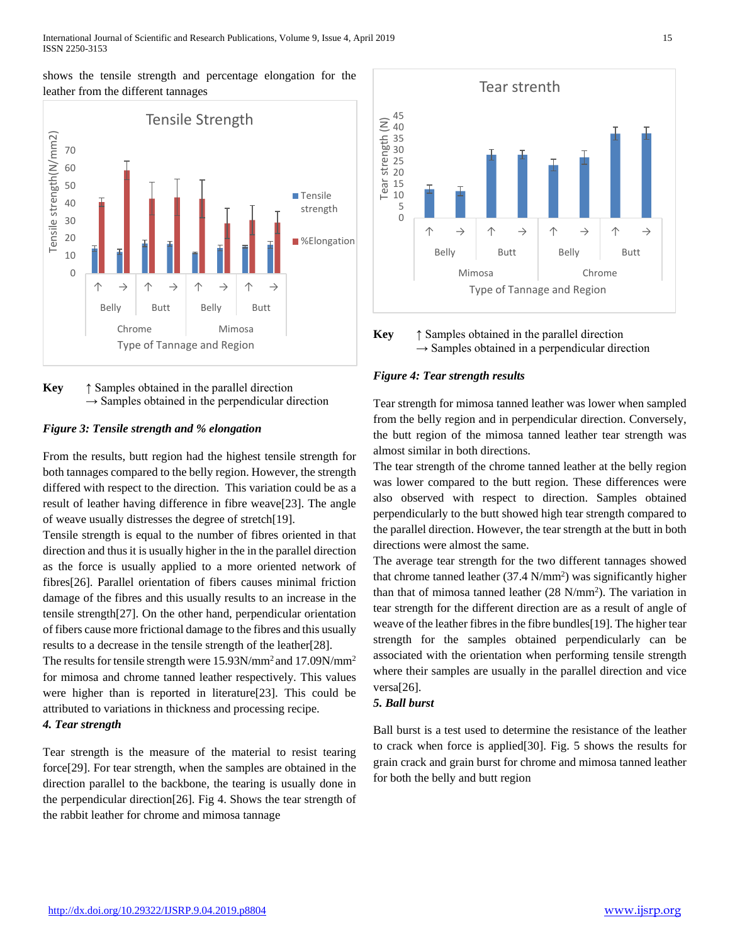shows the tensile strength and percentage elongation for the leather from the different tannages



**Key** ↑ Samples obtained in the parallel direction  $\rightarrow$  Samples obtained in the perpendicular direction

## *Figure 3: Tensile strength and % elongation*

From the results, butt region had the highest tensile strength for both tannages compared to the belly region. However, the strength differed with respect to the direction. This variation could be as a result of leather having difference in fibre weave[23]. The angle of weave usually distresses the degree of stretch[19].

Tensile strength is equal to the number of fibres oriented in that direction and thus it is usually higher in the in the parallel direction as the force is usually applied to a more oriented network of fibres[26]. Parallel orientation of fibers causes minimal friction damage of the fibres and this usually results to an increase in the tensile strength[27]. On the other hand, perpendicular orientation of fibers cause more frictional damage to the fibres and this usually results to a decrease in the tensile strength of the leather[28].

The results for tensile strength were 15.93N/mm2 and 17.09N/mm2 for mimosa and chrome tanned leather respectively. This values were higher than is reported in literature[23]. This could be attributed to variations in thickness and processing recipe. *4. Tear strength*

Tear strength is the measure of the material to resist tearing force[29]. For tear strength, when the samples are obtained in the direction parallel to the backbone, the tearing is usually done in the perpendicular direction[26]. Fig 4. Shows the tear strength of the rabbit leather for chrome and mimosa tannage



**Key** ↑ Samples obtained in the parallel direction  $\rightarrow$  Samples obtained in a perpendicular direction

## *Figure 4: Tear strength results*

Tear strength for mimosa tanned leather was lower when sampled from the belly region and in perpendicular direction. Conversely, the butt region of the mimosa tanned leather tear strength was almost similar in both directions.

The tear strength of the chrome tanned leather at the belly region was lower compared to the butt region. These differences were also observed with respect to direction. Samples obtained perpendicularly to the butt showed high tear strength compared to the parallel direction. However, the tear strength at the butt in both directions were almost the same.

The average tear strength for the two different tannages showed that chrome tanned leather  $(37.4 \text{ N/mm}^2)$  was significantly higher than that of mimosa tanned leather (28 N/mm2 ). The variation in tear strength for the different direction are as a result of angle of weave of the leather fibres in the fibre bundles[19]. The higher tear strength for the samples obtained perpendicularly can be associated with the orientation when performing tensile strength where their samples are usually in the parallel direction and vice versa[26].

## *5. Ball burst*

Ball burst is a test used to determine the resistance of the leather to crack when force is applied[30]. Fig. 5 shows the results for grain crack and grain burst for chrome and mimosa tanned leather for both the belly and butt region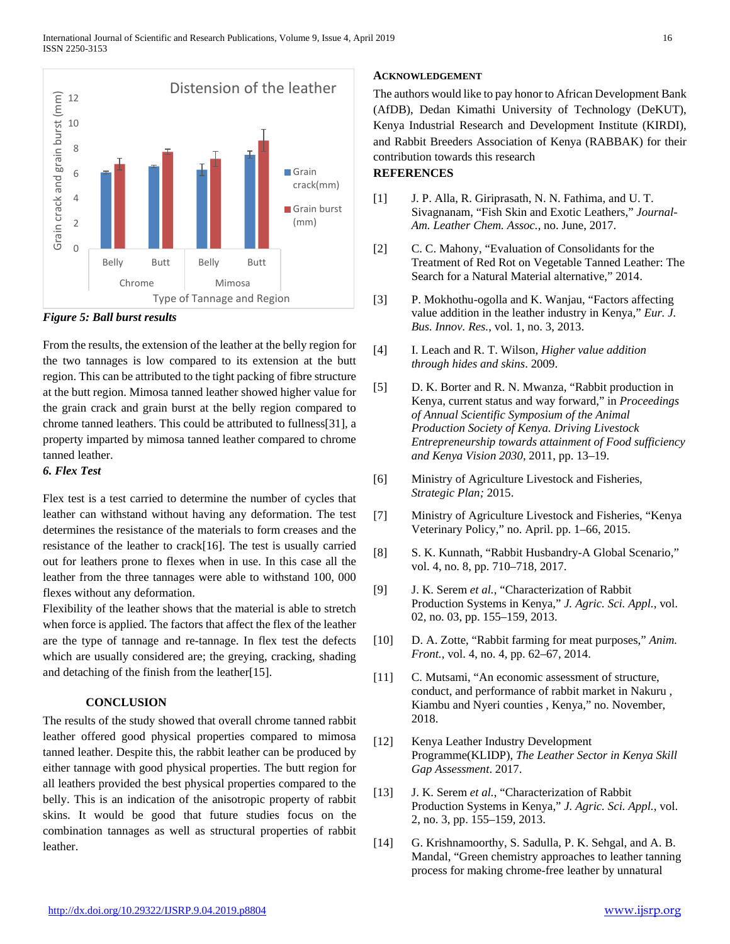![](_page_4_Figure_1.jpeg)

## *Figure 5: Ball burst results*

From the results, the extension of the leather at the belly region for the two tannages is low compared to its extension at the butt region. This can be attributed to the tight packing of fibre structure at the butt region. Mimosa tanned leather showed higher value for the grain crack and grain burst at the belly region compared to chrome tanned leathers. This could be attributed to fullness[31], a property imparted by mimosa tanned leather compared to chrome tanned leather.

## *6. Flex Test*

Flex test is a test carried to determine the number of cycles that leather can withstand without having any deformation. The test determines the resistance of the materials to form creases and the resistance of the leather to crack[16]. The test is usually carried out for leathers prone to flexes when in use. In this case all the leather from the three tannages were able to withstand 100, 000 flexes without any deformation.

Flexibility of the leather shows that the material is able to stretch when force is applied. The factors that affect the flex of the leather are the type of tannage and re-tannage. In flex test the defects which are usually considered are; the greying, cracking, shading and detaching of the finish from the leather[15].

## **CONCLUSION**

The results of the study showed that overall chrome tanned rabbit leather offered good physical properties compared to mimosa tanned leather. Despite this, the rabbit leather can be produced by either tannage with good physical properties. The butt region for all leathers provided the best physical properties compared to the belly. This is an indication of the anisotropic property of rabbit skins. It would be good that future studies focus on the combination tannages as well as structural properties of rabbit leather.

## **ACKNOWLEDGEMENT**

The authors would like to pay honor to African Development Bank (AfDB), Dedan Kimathi University of Technology (DeKUT), Kenya Industrial Research and Development Institute (KIRDI), and Rabbit Breeders Association of Kenya (RABBAK) for their contribution towards this research **REFERENCES**

## [1] J. P. Alla, R. Giriprasath, N. N. Fathima, and U. T. Sivagnanam, "Fish Skin and Exotic Leathers," *Journal-Am. Leather Chem. Assoc.*, no. June, 2017.

- [2] C. C. Mahony, "Evaluation of Consolidants for the Treatment of Red Rot on Vegetable Tanned Leather: The Search for a Natural Material alternative," 2014.
- [3] P. Mokhothu-ogolla and K. Wanjau, "Factors affecting value addition in the leather industry in Kenya," *Eur. J. Bus. Innov. Res.*, vol. 1, no. 3, 2013.
- [4] I. Leach and R. T. Wilson, *Higher value addition through hides and skins*. 2009.
- [5] D. K. Borter and R. N. Mwanza, "Rabbit production in Kenya, current status and way forward," in *Proceedings of Annual Scientific Symposium of the Animal Production Society of Kenya. Driving Livestock Entrepreneurship towards attainment of Food sufficiency and Kenya Vision 2030*, 2011, pp. 13–19.
- [6] Ministry of Agriculture Livestock and Fisheries, *Strategic Plan;* 2015.
- [7] Ministry of Agriculture Livestock and Fisheries, "Kenya Veterinary Policy," no. April. pp. 1–66, 2015.
- [8] S. K. Kunnath, "Rabbit Husbandry-A Global Scenario," vol. 4, no. 8, pp. 710–718, 2017.
- [9] J. K. Serem *et al.*, "Characterization of Rabbit Production Systems in Kenya," *J. Agric. Sci. Appl.*, vol. 02, no. 03, pp. 155–159, 2013.
- [10] D. A. Zotte, "Rabbit farming for meat purposes," *Anim. Front.*, vol. 4, no. 4, pp. 62–67, 2014.
- [11] C. Mutsami, "An economic assessment of structure, conduct, and performance of rabbit market in Nakuru , Kiambu and Nyeri counties , Kenya," no. November, 2018.
- [12] Kenya Leather Industry Development Programme(KLIDP), *The Leather Sector in Kenya Skill Gap Assessment*. 2017.
- [13] J. K. Serem *et al.*, "Characterization of Rabbit Production Systems in Kenya," *J. Agric. Sci. Appl.*, vol. 2, no. 3, pp. 155–159, 2013.
- [14] G. Krishnamoorthy, S. Sadulla, P. K. Sehgal, and A. B. Mandal, "Green chemistry approaches to leather tanning process for making chrome-free leather by unnatural